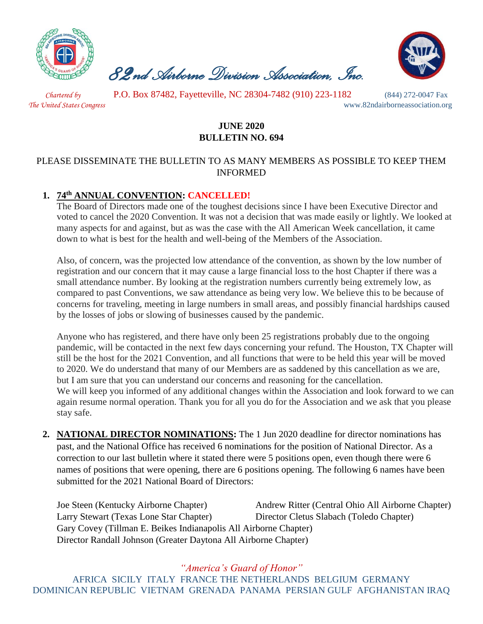

 *82nd Airborne Division Association, Inc.* 



 *Chartered by* P.O. Box 87482, Fayetteville, NC 28304-7482 (910) 223-1182 (844) 272-0047 Fax

*The United States Congress* www.82ndairborneassociation.org

# **JUNE 2020 BULLETIN NO. 694**

### PLEASE DISSEMINATE THE BULLETIN TO AS MANY MEMBERS AS POSSIBLE TO KEEP THEM INFORMED

# **1. 74th ANNUAL CONVENTION: CANCELLED!**

The Board of Directors made one of the toughest decisions since I have been Executive Director and voted to cancel the 2020 Convention. It was not a decision that was made easily or lightly. We looked at many aspects for and against, but as was the case with the All American Week cancellation, it came down to what is best for the health and well-being of the Members of the Association.

Also, of concern, was the projected low attendance of the convention, as shown by the low number of registration and our concern that it may cause a large financial loss to the host Chapter if there was a small attendance number. By looking at the registration numbers currently being extremely low, as compared to past Conventions, we saw attendance as being very low. We believe this to be because of concerns for traveling, meeting in large numbers in small areas, and possibly financial hardships caused by the losses of jobs or slowing of businesses caused by the pandemic.

Anyone who has registered, and there have only been 25 registrations probably due to the ongoing pandemic, will be contacted in the next few days concerning your refund. The Houston, TX Chapter will still be the host for the 2021 Convention, and all functions that were to be held this year will be moved to 2020. We do understand that many of our Members are as saddened by this cancellation as we are, but I am sure that you can understand our concerns and reasoning for the cancellation. We will keep you informed of any additional changes within the Association and look forward to we can again resume normal operation. Thank you for all you do for the Association and we ask that you please stay safe.

**2. NATIONAL DIRECTOR NOMINATIONS:** The 1 Jun 2020 deadline for director nominations has past, and the National Office has received 6 nominations for the position of National Director. As a correction to our last bulletin where it stated there were 5 positions open, even though there were 6 names of positions that were opening, there are 6 positions opening. The following 6 names have been submitted for the 2021 National Board of Directors:

| Joe Steen (Kentucky Airborne Chapter)                            | Andrew Ritter (Central Ohio All Airborne Chapter) |  |
|------------------------------------------------------------------|---------------------------------------------------|--|
| Larry Stewart (Texas Lone Star Chapter)                          | Director Cletus Slabach (Toledo Chapter)          |  |
| Gary Covey (Tillman E. Beikes Indianapolis All Airborne Chapter) |                                                   |  |
| Director Randall Johnson (Greater Daytona All Airborne Chapter)  |                                                   |  |

*"America's Guard of Honor"* AFRICA SICILY ITALY FRANCE THE NETHERLANDS BELGIUM GERMANY DOMINICAN REPUBLIC VIETNAM GRENADA PANAMA PERSIAN GULF AFGHANISTAN IRAQ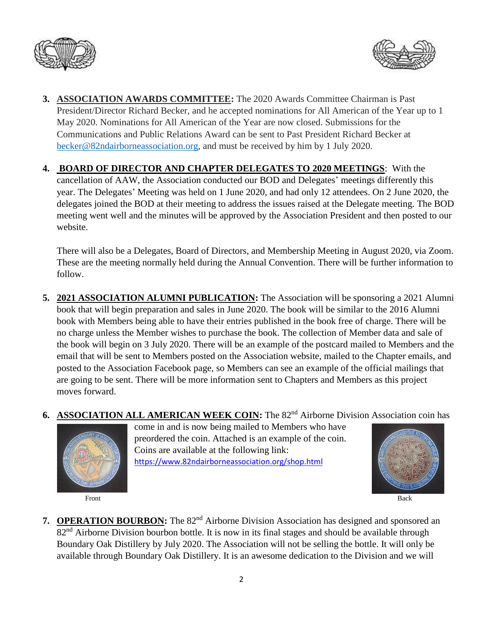



- **3. ASSOCIATION AWARDS COMMITTEE:** The 2020 Awards Committee Chairman is Past President/Director Richard Becker, and he accepted nominations for All American of the Year up to 1 May 2020. Nominations for All American of the Year are now closed. Submissions for the Communications and Public Relations Award can be sent to Past President Richard Becker at [becker@82ndairborneassociation.org,](mailto:becker@82ndairborneassociation.org) and must be received by him by 1 July 2020.
- **4. BOARD OF DIRECTOR AND CHAPTER DELEGATES TO 2020 MEETINGS**: With the cancellation of AAW, the Association conducted our BOD and Delegates' meetings differently this year. The Delegates' Meeting was held on 1 June 2020, and had only 12 attendees. On 2 June 2020, the delegates joined the BOD at their meeting to address the issues raised at the Delegate meeting. The BOD meeting went well and the minutes will be approved by the Association President and then posted to our website.

There will also be a Delegates, Board of Directors, and Membership Meeting in August 2020, via Zoom. These are the meeting normally held during the Annual Convention. There will be further information to follow.

- **5. 2021 ASSOCIATION ALUMNI PUBLICATION:** The Association will be sponsoring a 2021 Alumni book that will begin preparation and sales in June 2020. The book will be similar to the 2016 Alumni book with Members being able to have their entries published in the book free of charge. There will be no charge unless the Member wishes to purchase the book. The collection of Member data and sale of the book will begin on 3 July 2020. There will be an example of the postcard mailed to Members and the email that will be sent to Members posted on the Association website, mailed to the Chapter emails, and posted to the Association Facebook page, so Members can see an example of the official mailings that are going to be sent. There will be more information sent to Chapters and Members as this project moves forward.
- **6.** ASSOCIATION ALL AMERICAN WEEK COIN: The 82<sup>nd</sup> Airborne Division Association coin has



come in and is now being mailed to Members who have preordered the coin. Attached is an example of the coin. Coins are available at the following link: <https://www.82ndairborneassociation.org/shop.html>



Front Back

**7. OPERATION BOURBON:** The 82<sup>nd</sup> Airborne Division Association has designed and sponsored an 82<sup>nd</sup> Airborne Division bourbon bottle. It is now in its final stages and should be available through Boundary Oak Distillery by July 2020. The Association will not be selling the bottle. It will only be available through Boundary Oak Distillery. It is an awesome dedication to the Division and we will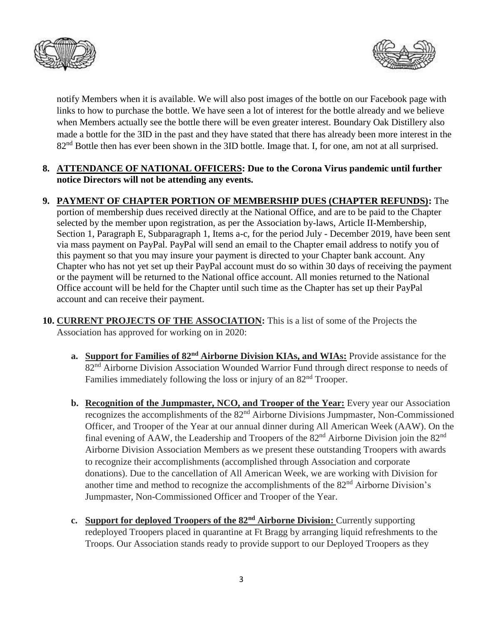



notify Members when it is available. We will also post images of the bottle on our Facebook page with links to how to purchase the bottle. We have seen a lot of interest for the bottle already and we believe when Members actually see the bottle there will be even greater interest. Boundary Oak Distillery also made a bottle for the 3ID in the past and they have stated that there has already been more interest in the 82<sup>nd</sup> Bottle then has ever been shown in the 3ID bottle. Image that. I, for one, am not at all surprised.

#### **8. ATTENDANCE OF NATIONAL OFFICERS: Due to the Corona Virus pandemic until further notice Directors will not be attending any events.**

## **9. PAYMENT OF CHAPTER PORTION OF MEMBERSHIP DUES (CHAPTER REFUNDS):** The

portion of membership dues received directly at the National Office, and are to be paid to the Chapter selected by the member upon registration, as per the Association by-laws, Article II-Membership, Section 1, Paragraph E, Subparagraph 1, Items a-c, for the period July - December 2019, have been sent via mass payment on PayPal. PayPal will send an email to the Chapter email address to notify you of this payment so that you may insure your payment is directed to your Chapter bank account. Any Chapter who has not yet set up their PayPal account must do so within 30 days of receiving the payment or the payment will be returned to the National office account. All monies returned to the National Office account will be held for the Chapter until such time as the Chapter has set up their PayPal account and can receive their payment.

- **10. CURRENT PROJECTS OF THE ASSOCIATION:** This is a list of some of the Projects the Association has approved for working on in 2020:
	- **a. Support for Families of 82nd Airborne Division KIAs, and WIAs:** Provide assistance for the 82<sup>nd</sup> Airborne Division Association Wounded Warrior Fund through direct response to needs of Families immediately following the loss or injury of an  $82<sup>nd</sup>$  Trooper.
	- **b. Recognition of the Jumpmaster, NCO, and Trooper of the Year:** Every year our Association recognizes the accomplishments of the 82<sup>nd</sup> Airborne Divisions Jumpmaster, Non-Commissioned Officer, and Trooper of the Year at our annual dinner during All American Week (AAW). On the final evening of AAW, the Leadership and Troopers of the  $82<sup>nd</sup>$  Airborne Division join the  $82<sup>nd</sup>$ Airborne Division Association Members as we present these outstanding Troopers with awards to recognize their accomplishments (accomplished through Association and corporate donations). Due to the cancellation of All American Week, we are working with Division for another time and method to recognize the accomplishments of the 82nd Airborne Division's Jumpmaster, Non-Commissioned Officer and Trooper of the Year.
	- **c. Support for deployed Troopers of the 82nd Airborne Division:** Currently supporting redeployed Troopers placed in quarantine at Ft Bragg by arranging liquid refreshments to the Troops. Our Association stands ready to provide support to our Deployed Troopers as they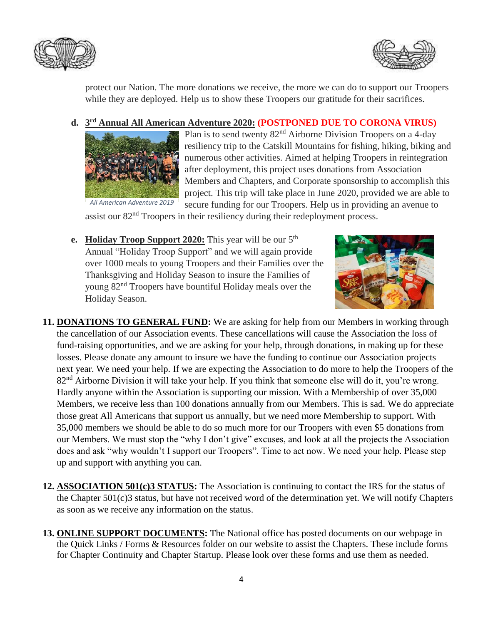



protect our Nation. The more donations we receive, the more we can do to support our Troopers while they are deployed. Help us to show these Troopers our gratitude for their sacrifices.

## **d. 3 rd Annual All American Adventure 2020: (POSTPONED DUE TO CORONA VIRUS)**



Plan is to send twenty 82nd Airborne Division Troopers on a 4-day resiliency trip to the Catskill Mountains for fishing, hiking, biking and numerous other activities. Aimed at helping Troopers in reintegration after deployment, this project uses donations from Association Members and Chapters, and Corporate sponsorship to accomplish this project. This trip will take place in June 2020, provided we are able to secure funding for our Troopers. Help us in providing an avenue to

assist our 82<sup>nd</sup> Troopers in their resiliency during their redeployment process.

**e. Holiday Troop Support 2020:** This year will be our 5<sup>th</sup> Annual "Holiday Troop Support" and we will again provide over 1000 meals to young Troopers and their Families over the Thanksgiving and Holiday Season to insure the Families of young 82nd Troopers have bountiful Holiday meals over the Holiday Season.



- **11. DONATIONS TO GENERAL FUND:** We are asking for help from our Members in working through the cancellation of our Association events. These cancellations will cause the Association the loss of fund-raising opportunities, and we are asking for your help, through donations, in making up for these losses. Please donate any amount to insure we have the funding to continue our Association projects next year. We need your help. If we are expecting the Association to do more to help the Troopers of the 82<sup>nd</sup> Airborne Division it will take your help. If you think that someone else will do it, you're wrong. Hardly anyone within the Association is supporting our mission. With a Membership of over 35,000 Members, we receive less than 100 donations annually from our Members. This is sad. We do appreciate those great All Americans that support us annually, but we need more Membership to support. With 35,000 members we should be able to do so much more for our Troopers with even \$5 donations from our Members. We must stop the "why I don't give" excuses, and look at all the projects the Association does and ask "why wouldn't I support our Troopers". Time to act now. We need your help. Please step up and support with anything you can.
- **12. ASSOCIATION 501(c)3 STATUS:** The Association is continuing to contact the IRS for the status of the Chapter 501(c)3 status, but have not received word of the determination yet. We will notify Chapters as soon as we receive any information on the status.
- **13. ONLINE SUPPORT DOCUMENTS:** The National office has posted documents on our webpage in the Quick Links / Forms & Resources folder on our website to assist the Chapters. These include forms for Chapter Continuity and Chapter Startup. Please look over these forms and use them as needed.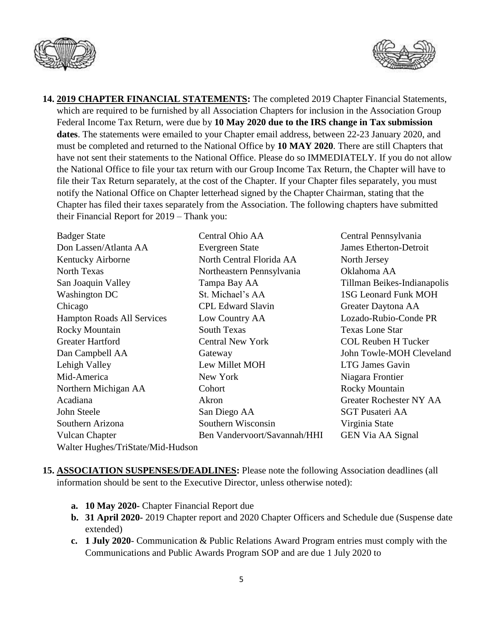



**14. 2019 CHAPTER FINANCIAL STATEMENTS:** The completed 2019 Chapter Financial Statements, which are required to be furnished by all Association Chapters for inclusion in the Association Group Federal Income Tax Return, were due by **10 May 2020 due to the IRS change in Tax submission dates**. The statements were emailed to your Chapter email address, between 22-23 January 2020, and must be completed and returned to the National Office by **10 MAY 2020**. There are still Chapters that have not sent their statements to the National Office. Please do so IMMEDIATELY. If you do not allow the National Office to file your tax return with our Group Income Tax Return, the Chapter will have to file their Tax Return separately, at the cost of the Chapter. If your Chapter files separately, you must notify the National Office on Chapter letterhead signed by the Chapter Chairman, stating that the Chapter has filed their taxes separately from the Association. The following chapters have submitted their Financial Report for 2019 – Thank you:

| <b>Badger State</b>               | Central Ohio AA              | Central Pennsylvania        |
|-----------------------------------|------------------------------|-----------------------------|
| Don Lassen/Atlanta AA             | Evergreen State              | James Etherton-Detroit      |
| Kentucky Airborne                 | North Central Florida AA     | North Jersey                |
| North Texas                       | Northeastern Pennsylvania    | Oklahoma AA                 |
| San Joaquin Valley                | Tampa Bay AA                 | Tillman Beikes-Indianapolis |
| <b>Washington DC</b>              | St. Michael's AA             | <b>1SG Leonard Funk MOH</b> |
| Chicago                           | <b>CPL Edward Slavin</b>     | Greater Daytona AA          |
| <b>Hampton Roads All Services</b> | Low Country AA               | Lozado-Rubio-Conde PR       |
| Rocky Mountain                    | <b>South Texas</b>           | <b>Texas Lone Star</b>      |
| <b>Greater Hartford</b>           | <b>Central New York</b>      | <b>COL Reuben H Tucker</b>  |
| Dan Campbell AA                   | Gateway                      | John Towle-MOH Cleveland    |
| Lehigh Valley                     | Lew Millet MOH               | <b>LTG James Gavin</b>      |
| Mid-America                       | New York                     | Niagara Frontier            |
| Northern Michigan AA              | Cohort                       | <b>Rocky Mountain</b>       |
| Acadiana                          | Akron                        | Greater Rochester NY AA     |
| John Steele                       | San Diego AA                 | <b>SGT Pusateri AA</b>      |
| Southern Arizona                  | Southern Wisconsin           | Virginia State              |
| <b>Vulcan Chapter</b>             | Ben Vandervoort/Savannah/HHI | <b>GEN Via AA Signal</b>    |
| Walter Hughes/TriState/Mid-Hudson |                              |                             |

- **15. ASSOCIATION SUSPENSES/DEADLINES:** Please note the following Association deadlines (all information should be sent to the Executive Director, unless otherwise noted):
	- **a. 10 May 2020-** Chapter Financial Report due
	- **b. 31 April 2020-** 2019 Chapter report and 2020 Chapter Officers and Schedule due (Suspense date extended)
	- **c. 1 July 2020** Communication & Public Relations Award Program entries must comply with the Communications and Public Awards Program SOP and are due 1 July 2020 to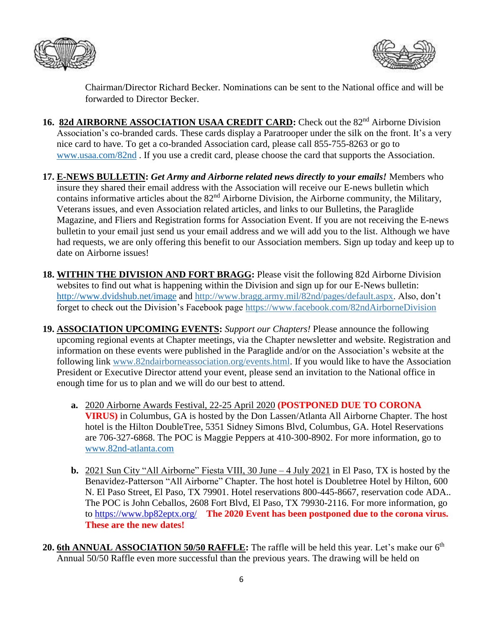



Chairman/Director Richard Becker. Nominations can be sent to the National office and will be forwarded to Director Becker.

- 16. 82d AIRBORNE ASSOCIATION USAA CREDIT CARD: Check out the 82<sup>nd</sup> Airborne Division Association's co-branded cards. These cards display a Paratrooper under the silk on the front. It's a very nice card to have. To get a co-branded Association card, please call 855-755-8263 or go to [www.usaa.com/82nd](http://www.usaa.com/82nd) . If you use a credit card, please choose the card that supports the Association.
- **17. E-NEWS BULLETIN:** *Get Army and Airborne related news directly to your emails!* Members who insure they shared their email address with the Association will receive our E-news bulletin which contains informative articles about the 82nd Airborne Division, the Airborne community, the Military, Veterans issues, and even Association related articles, and links to our Bulletins, the Paraglide Magazine, and Fliers and Registration forms for Association Event. If you are not receiving the E-news bulletin to your email just send us your email address and we will add you to the list. Although we have had requests, we are only offering this benefit to our Association members. Sign up today and keep up to date on Airborne issues!
- **18. WITHIN THE DIVISION AND FORT BRAGG:** Please visit the following 82d Airborne Division websites to find out what is happening within the Division and sign up for our E-News bulletin: <http://www.dvidshub.net/image> and [http://www.bragg.army.mil/82nd/pages/default.aspx.](http://www.bragg.army.mil/82ND/Pages/default.aspx) Also, don't forget to check out the Division's Facebook page<https://www.facebook.com/82ndAirborneDivision>
- **19. ASSOCIATION UPCOMING EVENTS:** *Support our Chapters!* Please announce the following upcoming regional events at Chapter meetings, via the Chapter newsletter and website. Registration and information on these events were published in the Paraglide and/or on the Association's website at the following link [www.82ndairborneassociation.org/events.html.](http://www.82ndairborneassociation.org/events.html) If you would like to have the Association President or Executive Director attend your event, please send an invitation to the National office in enough time for us to plan and we will do our best to attend.
	- **a.** 2020 Airborne Awards Festival, 22-25 April 2020 **(POSTPONED DUE TO CORONA VIRUS)** in Columbus, GA is hosted by the Don Lassen/Atlanta All Airborne Chapter. The host hotel is the Hilton DoubleTree, 5351 Sidney Simons Blvd, Columbus, GA. Hotel Reservations are 706-327-6868. The POC is Maggie Peppers at 410-300-8902. For more information, go to [www.82nd-atlanta.com](file:///C:/Users/lbauer626/AppData/Roaming/com.wd.WDMyCloud/Local%20Store/www.82nd-atlanta.com)
	- **b.** 2021 Sun City "All Airborne" Fiesta VIII, 30 June 4 July 2021 in El Paso, TX is hosted by the Benavidez-Patterson "All Airborne" Chapter. The host hotel is Doubletree Hotel by Hilton, 600 N. El Paso Street, El Paso, TX 79901. Hotel reservations 800-445-8667, reservation code ADA.. The POC is John Ceballos, 2608 Fort Blvd, El Paso, TX 79930-2116. For more information, go to<https://www.bp82eptx.org/>**The 2020 Event has been postponed due to the corona virus. These are the new dates!**
- 20. 6th ANNUAL ASSOCIATION 50/50 RAFFLE: The raffle will be held this year. Let's make our 6<sup>th</sup> Annual 50/50 Raffle even more successful than the previous years. The drawing will be held on